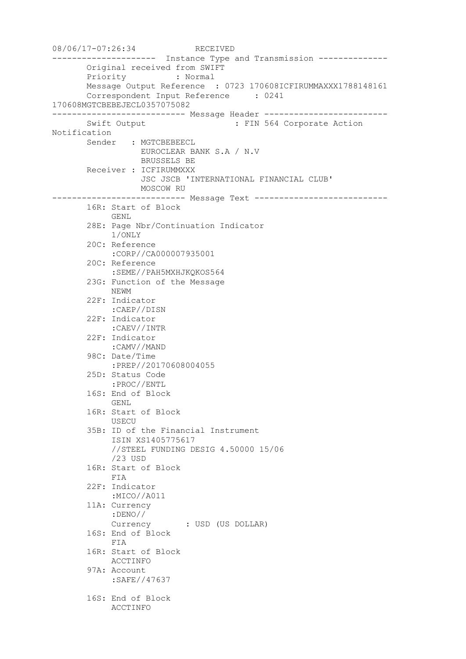08/06/17-07:26:34 RECEIVED --------------------- Instance Type and Transmission -------------- Original received from SWIFT Priority : Normal Message Output Reference : 0723 170608ICFIRUMMAXXX1788148161 Correspondent Input Reference : 0241 170608MGTCBEBEJECL0357075082 --------------------------- Message Header ------------------------- Swift Output : FIN 564 Corporate Action Notification Sender : MGTCBEBEECL EUROCLEAR BANK S.A / N.V BRUSSELS BE Receiver : ICFIRUMMXXX JSC JSCB 'INTERNATIONAL FINANCIAL CLUB' MOSCOW RU --------------------------- Message Text --------------------------- 16R: Start of Block GENL 28E: Page Nbr/Continuation Indicator 1/ONLY 20C: Reference :CORP//CA000007935001 20C: Reference :SEME//PAH5MXHJKQKOS564 23G: Function of the Message NEWM 22F: Indicator :CAEP//DISN 22F: Indicator :CAEV//INTR 22F: Indicator :CAMV//MAND 98C: Date/Time :PREP//20170608004055 25D: Status Code :PROC//ENTL 16S: End of Block GENL 16R: Start of Block USECU 35B: ID of the Financial Instrument ISIN XS1405775617 //STEEL FUNDING DESIG 4.50000 15/06 /23 USD 16R: Start of Block FIA 22F: Indicator :MICO//A011 11A: Currency :DENO// Currency : USD (US DOLLAR) 16S: End of Block FIA 16R: Start of Block ACCTINFO 97A: Account :SAFE//47637 16S: End of Block ACCTINFO